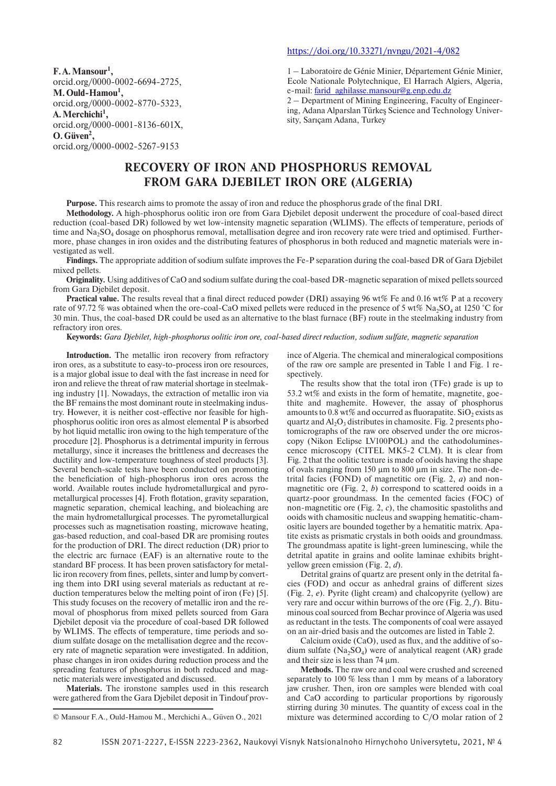**F.A.Mansour1 ,** orcid.org/0000-0002-6694-2725, **M.Ould-Hamou1 ,** orcid.org/0000-0002-8770-5323, **A.Merchichi1 ,** orcid.org/0000-0001-8136-601X, **O.Güven2 ,**

orcid.org/0000-0002-5267-9153

## https://doi.org/10.33271/nvngu/2021-4/082

1 – Laboratoire de Génie Minier, Département Génie Minier, Ecole Nationale Polytechnique, El Harrach Algiers, Algeria, e-mail: farid\_aghilasse.mansour@g.enp.edu.dz

2 – Department of Mining Engineering, Faculty of Engineering, Adana Alparslan Türkeş Science and Technology University, Sarıçam Adana, Turkey

# **RECOVERY OF IRON AND PHOSPHORUS REMOVAL FROM GARA DJEBILET IRON ORE (ALGERIA)**

**Purpose.** This research aims to promote the assay of iron and reduce the phosphorus grade of the final DRI.

**Methodology.** A high-phosphorus oolitic iron ore from Gara Djebilet deposit underwent the procedure of coal-based direct reduction (coal-based DR) followed by wet low-intensity magnetic separation (WLIMS). The effects of temperature, periods of time and  $Na<sub>2</sub>SO<sub>4</sub>$  dosage on phosphorus removal, metallisation degree and iron recovery rate were tried and optimised. Furthermore, phase changes in iron oxides and the distributing features of phosphorus in both reduced and magnetic materials were investigated as well.

**Findings.** The appropriate addition of sodium sulfate improves the Fe-P separation during the coal-based DR of Gara Djebilet mixed pellets.

**Originality.** Using additives of CaO and sodium sulfate during the coal-based DR-magnetic separation of mixed pellets sourced from Gara Djebilet deposit.

**Practical value.** The results reveal that a final direct reduced powder (DRI) assaying 96 wt% Fe and 0.16 wt% P at a recovery rate of 97.72 % was obtained when the ore-coal-CaO mixed pellets were reduced in the presence of 5 wt% Na<sub>2</sub>SO<sub>4</sub> at 1250 °C for 30 min. Thus, the coal-based DR could be used as an alternative to the blast furnace (BF) route in the steelmaking industry from refractory iron ores.

**Keywords:** *Gara Djebilet, high-phosphorus oolitic iron ore, coal-based direct reduction, sodium sulfate, magnetic separation*

**Introduction.** The metallic iron recovery from refractory iron ores, as a substitute to easy-to-process iron ore resources, is a major global issue to deal with the fast increase in need for iron and relieve the threat of raw material shortage in steelmaking industry [1]. Nowadays, the extraction of metallic iron via the BF remains the most dominant route in steelmaking industry. However, it is neither cost-effective nor feasible for highphosphorus oolitic iron ores as almost elemental P is absorbed by hot liquid metallic iron owing to the high temperature of the procedure [2]. Phosphorus is a detrimental impurity in ferrous metallurgy, since it increases the brittleness and decreases the ductility and low-temperature toughness of steel products [3]. Several bench-scale tests have been conducted on promoting the beneficiation of high-phosphorus iron ores across the world. Available routes include hydrometallurgical and pyrometallurgical processes [4]. Froth flotation, gravity separation, magnetic separation, chemical leaching, and bioleaching are the main hydrometallurgical processes. The pyrometallurgical processes such as magnetisation roasting, microwave heating, gas-based reduction, and coal-based DR are promising routes for the production of DRI. The direct reduction (DR) prior to the electric arc furnace (EAF) is an alternative route to the standard BF process. It has been proven satisfactory for metallic iron recovery from fines, pellets, sinter and lump by converting them into DRI using several materials as reductant at reduction temperatures below the melting point of iron (Fe) [5]. This study focuses on the recovery of metallic iron and the removal of phosphorus from mixed pellets sourced from Gara Djebilet deposit via the procedure of coal-based DR followed by WLIMS. The effects of temperature, time periods and sodium sulfate dosage on the metallisation degree and the recovery rate of magnetic separation were investigated. In addition, phase changes in iron oxides during reduction process and the spreading features of phosphorus in both reduced and magnetic materials were investigated and discussed.

**Materials.** The ironstone samples used in this research were gathered from the Gara Djebilet deposit in Tindouf prov-

ince of Algeria. The chemical and mineralogical compositions of the raw ore sample are presented in Table 1 and Fig. 1 respectively.

The results show that the total iron (TFe) grade is up to 53.2 wt% and exists in the form of hematite, magnetite, goethite and maghemite. However, the assay of phosphorus amounts to 0.8 wt% and occurred as fluorapatite.  $SiO<sub>2</sub>$  exists as quartz and  $Al_2O_3$  distributes in chamosite. Fig. 2 presents photomicrographs of the raw ore observed under the ore microscopy (Nikon Eclipse LV100POL) and the cathodoluminescence microscopy (CITEL MK5-2 CLM). It is clear from Fig. 2 that the oolitic texture is made of ooids having the shape of ovals ranging from 150 µm to 800 µm in size. The non-detrital facies (FOND) of magnetitic ore (Fig. 2, *a*) and nonmagnetitic ore (Fig. 2, *b*) correspond to scattered ooids in a quartz-poor groundmass. In the cemented facies (FOC) of non-magnetitic ore (Fig. 2, *c*), the chamositic spastoliths and ooids with chamositic nucleus and swapping hematitic-chamositic layers are bounded together by a hematitic matrix. Apatite exists as prismatic crystals in both ooids and groundmass. The groundmass apatite is light-green luminescing, while the detrital apatite in grains and oolite laminae exhibits brightyellow green emission (Fig. 2, *d*).

Detrital grains of quartz are present only in the detrital facies (FOD) and occur as anhedral grains of different sizes (Fig. 2, *e*). Pyrite (light cream) and chalcopyrite (yellow) are very rare and occur within burrows of the ore (Fig. 2, *f*). Bituminous coal sourced from Bechar province of Algeria was used as reductant in the tests. The components of coal were assayed on an air-dried basis and the outcomes are listed in Table 2.

Calcium oxide (CaO), used as flux, and the additive of sodium sulfate  $(Na_2SO_4)$  were of analytical reagent (AR) grade and their size is less than 74 µm.

**Methods.** The raw ore and coal were crushed and screened separately to 100 % less than 1 mm by means of a laboratory jaw crusher. Then, iron ore samples were blended with coal and CaO according to particular proportions by rigorously stirring during 30 minutes. The quantity of excess coal in the mixture was determined according to C/O molar ration of 2

<sup>©</sup> Mansour F.A., Ould-Hamou M., Merchichi A., Güven O., 2021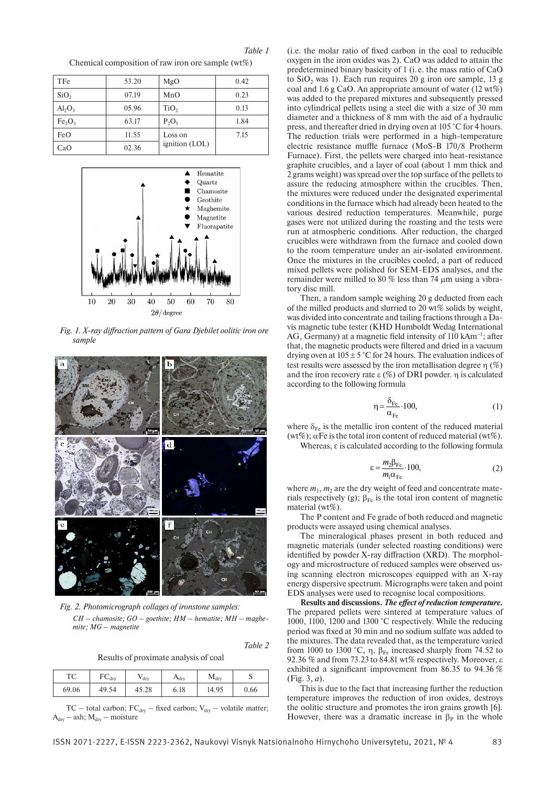*Table 1*

TFe | 53.20 | MgO | 0.42  $\text{SiO}_2$  | 07.19 | MnO | 0.23  $\text{Al}_2\text{O}_3$  | 05.96 | TiO<sub>2</sub> | 0.13  $Fe<sub>2</sub>O<sub>3</sub>$  | 63.17 |  $P<sub>2</sub>O<sub>5</sub>$  | 1.84  $FeO$  11.55 Loss on ignition (LOL) 7.15  $CaO$  02.36

Chemical composition of raw iron ore sample  $(wt\%)$ 



*Fig. 1. X-ray diffraction pattern of Gara Djebilet oolitic iron ore sample*



*Fig. 2. Photomicrograph collages of ironstone samples: CH – chamosite; GO – goethite; HM – hematite; MH – maghemite; MG – magnetite*

*Table 2*

Results of proximate analysis of coal

|                         | $H_{\text{dry}}$ | $M_{\text{dry}}$ | ັ    |
|-------------------------|------------------|------------------|------|
| 49.54<br>69.06<br>45.28 | 6.18             | 14.95            | 0.66 |

TC – total carbon;  $FC_{\text{dry}}$  – fixed carbon;  $V_{\text{dry}}$  – volatile matter;  $A_{\text{dry}} - \text{ash}$ ;  $M_{\text{dry}} - \text{moisture}$ 

(i.e. the molar ratio of fixed carbon in the coal to reducible oxygen in the iron oxides was 2). CaO was added to attain the predetermined binary basicity of 1 (i. e. the mass ratio of CaO to SiO<sub>2</sub> was 1). Each run requires  $20$  g iron ore sample, 13 g coal and 1.6 g CaO. An appropriate amount of water (12 wt%) was added to the prepared mixtures and subsequently pressed into cylindrical pellets using a steel die with a size of 30 mm diameter and a thickness of 8 mm with the aid of a hydraulic press, and thereafter dried in drying oven at 105 °C for 4 hours. The reduction trials were performed in a high-temperature electric resistance muffle furnace (MoS-B 170/8 Protherm Furnace). First, the pellets were charged into heat-resistance graphite crucibles, and a layer of coal (about 1 mm thick and 2 grams weight) was spread over the top surface of the pellets to assure the reducing atmosphere within the crucibles. Then, the mixtures were reduced under the designated experimental conditions in the furnace which had already been heated to the various desired reduction temperatures. Meanwhile, purge gases were not utilized during the roasting and the tests were run at atmospheric conditions. After reduction, the charged crucibles were withdrawn from the furnace and cooled down to the room temperature under an air-isolated environment. Once the mixtures in the crucibles cooled, a part of reduced mixed pellets were polished for SEM-EDS analyses, and the remainder were milled to 80 % less than 74 µm using a vibratory disc mill.

Then, a random sample weighing 20 g deducted from each of the milled products and slurried to 20 wt% solids by weight, was divided into concentrate and tailing fractions through a Davis magnetic tube tester (KHD Humboldt Wedag International AG, Germany) at a magnetic field intensity of 110 kAm<sup>-1</sup>; after that, the magnetic products were filtered and dried in a vacuum drying oven at  $105 \pm 5$  °C for 24 hours. The evaluation indices of test results were assessed by the iron metallisation degree  $\eta$  (%) and the iron recovery rate  $\varepsilon$  (%) of DRI powder. η is calculated according to the following formula

$$
\eta = \frac{\delta_{Fe}}{\alpha_{Fe}} \cdot 100,\tag{1}
$$

where  $\delta_{\text{Fe}}$  is the metallic iron content of the reduced material (wt%);  $\alpha$ Fe is the total iron content of reduced material (wt%).

Whereas, ε is calculated according to the following formula

$$
\varepsilon = \frac{m_2 \beta_{\text{Fe}}}{m_1 \alpha_{\text{Fe}}} \cdot 100,\tag{2}
$$

where  $m_1$ ,  $m_2$  are the dry weight of feed and concentrate materials respectively (g);  $\beta_{Fe}$  is the total iron content of magnetic material (wt%).

The P content and Fe grade of both reduced and magnetic products were assayed using chemical analyses.

The mineralogical phases present in both reduced and magnetic materials (under selected roasting conditions) were identified by powder X-ray diffraction (XRD). The morphology and microstructure of reduced samples were observed using scanning electron microscopes equipped with an X-ray energy dispersive spectrum. Micrographs were taken and point EDS analyses were used to recognise local compositions.

**Results and discussions.** *The effect of reduction temperature.*  The prepared pellets were sintered at temperature values of 1000, 1100, 1200 and 1300 °C respectively. While the reducing period was fixed at 30 min and no sodium sulfate was added to the mixtures. The data revealed that, as the temperature varied from 1000 to 1300 °C, η,  $\beta_{Fe}$  increased sharply from 74.52 to 92.36 % and from 73.23 to 84.81 wt% respectively. Moreover, ε exhibited a significant improvement from 86.35 to 94.36 % (Fig. 3, *a*).

This is due to the fact that increasing further the reduction temperature improves the reduction of iron oxides, destroys the oolitic structure and promotes the iron grains growth [6]. However, there was a dramatic increase in  $\beta_P$  in the whole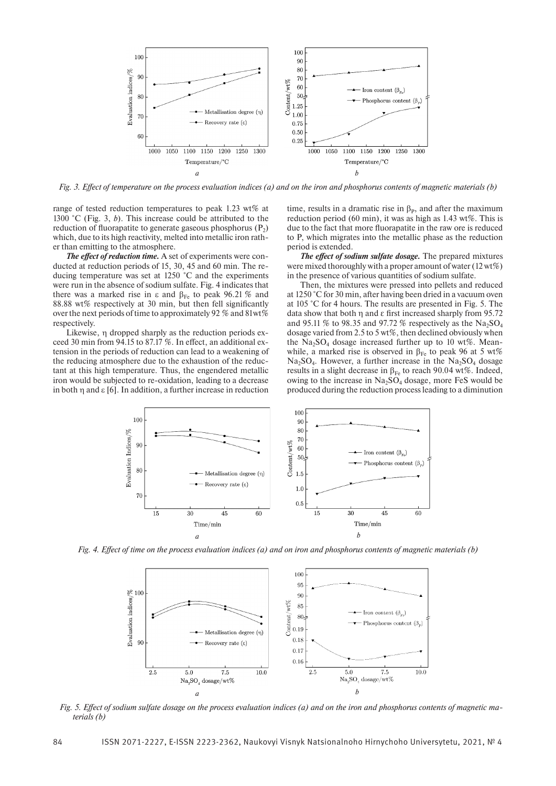

*Fig. 3. Effect of temperature on the process evaluation indices (a) and on the iron and phosphorus contents of magnetic materials (b)*

range of tested reduction temperatures to peak 1.23 wt% at 1300 °C (Fig. 3, *b*). This increase could be attributed to the reduction of fluorapatite to generate gaseous phosphorus  $(P_2)$ which, due to its high reactivity, melted into metallic iron rather than emitting to the atmosphere.

*The effect of reduction time.* A set of experiments were conducted at reduction periods of 15, 30, 45 and 60 min. The reducing temperature was set at 1250 °C and the experiments were run in the absence of sodium sulfate. Fig. 4 indicates that there was a marked rise in ε and  $β_{Fe}$  to peak 96.21 % and 88.88 wt% respectively at 30 min, but then fell significantly over the next periods of time to approximately 92 % and 81wt% respectively.

Likewise, η dropped sharply as the reduction periods exceed 30 min from 94.15 to 87.17 %. In effect, an additional extension in the periods of reduction can lead to a weakening of the reducing atmosphere due to the exhaustion of the reductant at this high temperature. Thus, the engendered metallic iron would be subjected to re-oxidation, leading to a decrease in both η and ε [6]. In addition, a further increase in reduction

time, results in a dramatic rise in  $\beta_{P}$ , and after the maximum reduction period (60 min), it was as high as 1.43 wt%. This is due to the fact that more fluorapatite in the raw ore is reduced to P, which migrates into the metallic phase as the reduction period is extended.

*The effect of sodium sulfate dosage.* The prepared mixtures were mixed thoroughly with a proper amount of water (12wt%) in the presence of various quantities of sodium sulfate.

Then, the mixtures were pressed into pellets and reduced at 1250 °C for 30 min, after having been dried in a vacuum oven at 105 °C for 4 hours. The results are presented in Fig. 5. The data show that both η and ε first increased sharply from 95.72 and 95.11 % to 98.35 and 97.72 % respectively as the  $Na<sub>2</sub>SO<sub>4</sub>$ dosage varied from 2.5 to 5 wt%, then declined obviously when the  $Na<sub>3</sub>SO<sub>4</sub>$  dosage increased further up to 10 wt%. Meanwhile, a marked rise is observed in  $\beta_{Fe}$  to peak 96 at 5 wt%  $Na<sub>2</sub>SO<sub>4</sub>$ . However, a further increase in the  $Na<sub>2</sub>SO<sub>4</sub>$  dosage results in a slight decrease in  $\beta_{Fe}$  to reach 90.04 wt%. Indeed, owing to the increase in  $Na<sub>2</sub>SO<sub>4</sub>$  dosage, more FeS would be produced during the reduction process leading to a diminution



*Fig. 4. Effect of time on the process evaluation indices (a) and on iron and phosphorus contents of magnetic materials (b)*



*Fig. 5. Effect of sodium sulfate dosage on the process evaluation indices (a) and on the iron and phosphorus contents of magnetic materials (b)*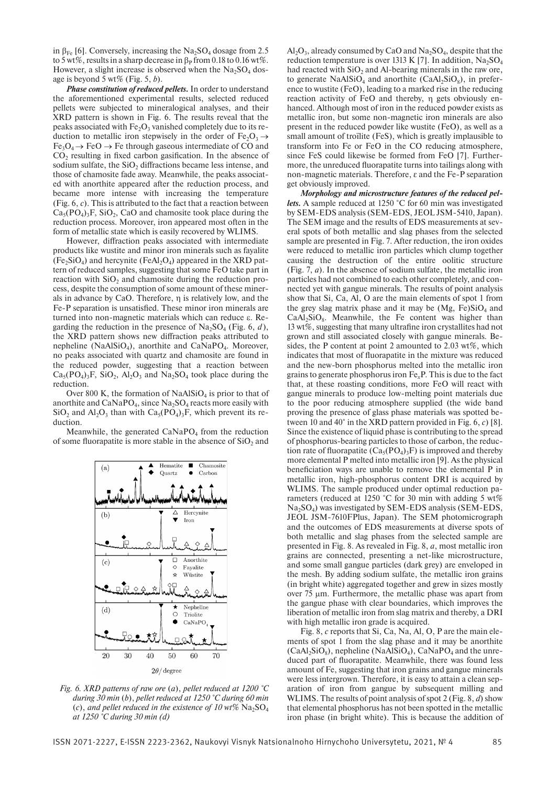in  $\beta_{Fe}$  [6]. Conversely, increasing the Na<sub>2</sub>SO<sub>4</sub> dosage from 2.5 to 5 wt%, results in a sharp decrease in  $\beta_P$  from 0.18 to 0.16 wt%. However, a slight increase is observed when the  $Na<sub>2</sub>SO<sub>4</sub>$  dosage is beyond 5 wt% (Fig. 5, *b*).

*Phase constitution of reduced pellets.* In order to understand the aforementioned experimental results, selected reduced pellets were subjected to mineralogical analyses, and their XRD pattern is shown in Fig. 6. The results reveal that the peaks associated with  $Fe<sub>2</sub>O<sub>3</sub>$  vanished completely due to its reduction to metallic iron stepwisely in the order of Fe<sub>2</sub>O<sub>3</sub>  $\rightarrow$  $Fe<sub>3</sub>O<sub>4</sub> \rightarrow FeO \rightarrow Fe$  through gaseous intermediate of CO and  $CO<sub>2</sub>$  resulting in fixed carbon gasification. In the absence of sodium sulfate, the SiO<sub>2</sub> diffractions became less intense, and those of chamosite fade away. Meanwhile, the peaks associated with anorthite appeared after the reduction process, and became more intense with increasing the temperature (Fig. 6, *c*). This is attributed to the fact that a reaction between  $Ca<sub>5</sub>(PO<sub>4</sub>)<sub>3</sub>F, SiO<sub>2</sub>, CaO and channels to be placed during the$ reduction process. Moreover, iron appeared most often in the form of metallic state which is easily recovered by WLIMS.

However, diffraction peaks associated with intermediate products like wustite and minor iron minerals such as fayalite  $(Fe_2SiO_4)$  and hercynite  $(FeAl_2O_4)$  appeared in the XRD pattern of reduced samples, suggesting that some FeO take part in reaction with  $SiO<sub>2</sub>$  and chamosite during the reduction process, despite the consumption of some amount of these minerals in advance by CaO. Therefore, η is relatively low, and the Fe-P separation is unsatisfied. These minor iron minerals are turned into non-magnetic materials which can reduce ε. Regarding the reduction in the presence of  $Na<sub>2</sub>SO<sub>4</sub>$  (Fig. 6, *d*), the XRD pattern shows new diffraction peaks attributed to nepheline (NaAl $SiO_4$ ), anorthite and CaNaPO<sub>4</sub>. Moreover, no peaks associated with quartz and chamosite are found in the reduced powder, suggesting that a reaction between  $Ca<sub>5</sub>(PO<sub>4</sub>)<sub>3</sub>F$ , SiO<sub>2</sub>, Al<sub>2</sub>O<sub>3</sub> and Na<sub>2</sub>SO<sub>4</sub> took place during the reduction.

Over 800 K, the formation of NaAlSiO<sub>4</sub> is prior to that of anorthite and  $CaNaPO<sub>4</sub>$ , since  $Na<sub>2</sub>SO<sub>4</sub>$  reacts more easily with  $SiO<sub>2</sub>$  and  $Al<sub>2</sub>O<sub>3</sub>$  than with  $Ca<sub>5</sub>(PO<sub>4</sub>)<sub>3</sub>F$ , which prevent its reduction.

Meanwhile, the generated  $CaNaPO<sub>4</sub>$  from the reduction of some fluorapatite is more stable in the absence of  $SiO<sub>2</sub>$  and



*Fig. 6. XRD patterns of raw ore* (*a*), *pellet reduced at 1200 °C during 30 min* (*b*), *pellet reduced at 1250 °C during 60 min*  (*c*), and pellet reduced in the existence of 10 wt%  $Na<sub>2</sub>SO<sub>4</sub>$ *at 1250 °C during 30 min (d)*

 $Al_2O_3$ , already consumed by CaO and Na<sub>2</sub>SO<sub>4</sub>, despite that the reduction temperature is over 1313 K [7]. In addition,  $Na<sub>2</sub>SO<sub>4</sub>$ had reacted with  $SiO<sub>2</sub>$  and Al-bearing minerals in the raw ore, to generate NaAlSiO<sub>4</sub> and anorthite (CaAl<sub>2</sub>SiO<sub>8</sub>), in preference to wustite (FeO), leading to a marked rise in the reducing reaction activity of FeO and thereby, η gets obviously enhanced. Although most of iron in the reduced powder exists as metallic iron, but some non-magnetic iron minerals are also present in the reduced powder like wustite (FeO), as well as a small amount of troïlite (FeS), which is greatly implausible to transform into Fe or FeO in the CO reducing atmosphere, since FeS could likewise be formed from FeO [7]. Furthermore, the unreduced fluorapatite turns into tailings along with non-magnetic materials. Therefore, ε and the Fe-P separation get obviously improved.

*Morphology and microstructure features of the reduced pellets.* A sample reduced at 1250 °C for 60 min was investigated by SEM-EDS analysis (SEM-EDS, JEOL JSM-5410, Japan). The SEM image and the results of EDS measurements at several spots of both metallic and slag phases from the selected sample are presented in Fig. 7. After reduction, the iron oxides were reduced to metallic iron particles which clump together causing the destruction of the entire oolitic structure (Fig. 7, *a*). In the absence of sodium sulfate, the metallic iron particles had not combined to each other completely, and connected yet with gangue minerals. The results of point analysis show that Si, Ca, Al, O are the main elements of spot 1 from the grey slag matrix phase and it may be  $(Mg, Fe)SiO<sub>4</sub>$  and  $CaAl<sub>2</sub>SiO<sub>8</sub>$ . Meanwhile, the Fe content was higher than 13 wt%, suggesting that many ultrafine iron crystallites had not grown and still associated closely with gangue minerals. Besides, the P content at point 2 amounted to 2.03 wt%, which indicates that most of fluorapatite in the mixture was reduced and the new-born phosphorus melted into the metallic iron grains to generate phosphorus iron Fe*x*P. This is due to the fact that, at these roasting conditions, more FeO will react with gangue minerals to produce low-melting point materials due to the poor reducing atmosphere supplied (the wide band proving the presence of glass phase materials was spotted between 10 and 40° in the XRD pattern provided in Fig. 6, *c*) [8]. Since the existence of liquid phase is contributing to the spread of phosphorus-bearing particles to those of carbon, the reduction rate of fluorapatite  $(Ca_5(PO_4)_3F)$  is improved and thereby more elemental P melted into metallic iron [9]. As the physical beneficiation ways are unable to remove the elemental P in metallic iron, high-phosphorus content DRI is acquired by WLIMS. The sample produced under optimal reduction parameters (reduced at 1250 °C for 30 min with adding 5 wt%  $Na<sub>2</sub>SO<sub>4</sub>$ ) was investigated by SEM-EDS analysis (SEM-EDS, JEOL JSM-7610FPlus, Japan). The SEM photomicrograph and the outcomes of EDS measurements at diverse spots of both metallic and slag phases from the selected sample are presented in Fig. 8. As revealed in Fig. 8, *a*, most metallic iron grains are connected, presenting a net-like microstructure, and some small gangue particles (dark grey) are enveloped in the mesh. By adding sodium sulfate, the metallic iron grains (in bright white) aggregated together and grew in sizes mostly over 75 µm. Furthermore, the metallic phase was apart from the gangue phase with clear boundaries, which improves the liberation of metallic iron from slag matrix and thereby, a DRI with high metallic iron grade is acquired.

Fig. 8, *c* reports that Si, Ca, Na, Al, O, P are the main elements of spot 1 from the slag phase and it may be anorthite  $(CaAl<sub>2</sub>SiO<sub>8</sub>)$ , nepheline (NaAlSiO<sub>4</sub>), CaNaPO<sub>4</sub> and the unreduced part of fluorapatite. Meanwhile, there was found less amount of Fe, suggesting that iron grains and gangue minerals were less intergrown. Therefore, it is easy to attain a clean separation of iron from gangue by subsequent milling and WLIMS. The results of point analysis of spot 2 (Fig. 8, *d*) show that elemental phosphorus has not been spotted in the metallic iron phase (in bright white). This is because the addition of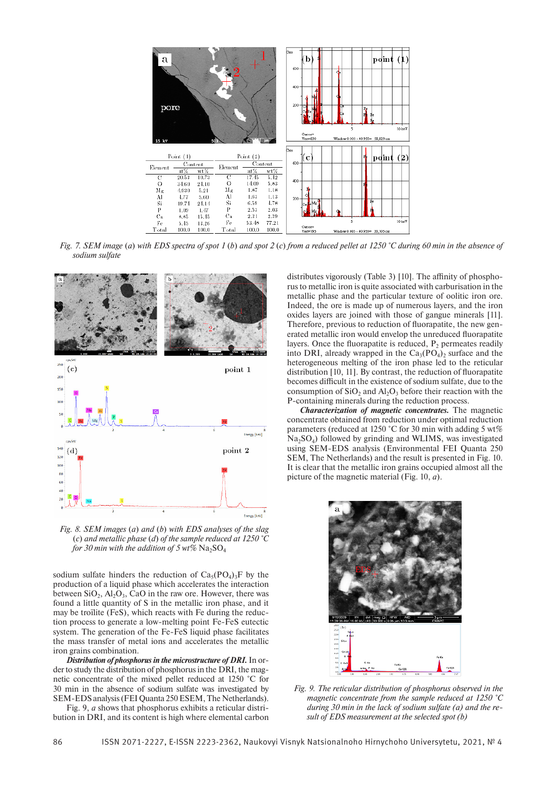

*Fig. 7. SEM image* (*a*) *with EDS spectra of spot 1* (*b*) *and spot 2* (*c*) *from a reduced pellet at 1250 °C during 60 min in the absence of sodium sulfate*



*Fig. 8. SEM images* (*a*) *and* (*b*) *with EDS analyses of the slag*  (*c*) *and metallic phase* (*d*) *of the sample reduced at 1250 °C for 30 min with the addition of 5 wt%*  $Na<sub>2</sub>SO<sub>4</sub>$ 

sodium sulfate hinders the reduction of  $Ca<sub>5</sub>(PO<sub>4</sub>)<sub>3</sub>F$  by the production of a liquid phase which accelerates the interaction between  $SiO_2$ ,  $Al_2O_3$ , CaO in the raw ore. However, there was found a little quantity of S in the metallic iron phase, and it may be troïlite (FeS), which reacts with Fe during the reduction process to generate a low-melting point Fe-FeS eutectic system. The generation of the Fe-FeS liquid phase facilitates the mass transfer of metal ions and accelerates the metallic iron grains combination.

*Distribution of phosphorus in the microstructure of DRI.* In order to study the distribution of phosphorus in the DRI, the magnetic concentrate of the mixed pellet reduced at 1250 °C for 30 min in the absence of sodium sulfate was investigated by SEM-EDS analysis (FEI Quanta 250 ESEM, The Netherlands).

Fig. 9, *a* shows that phosphorus exhibits a reticular distribution in DRI, and its content is high where elemental carbon

distributes vigorously (Table 3) [10]. The affinity of phosphorus to metallic iron is quite associated with carburisation in the metallic phase and the particular texture of oolitic iron ore. Indeed, the ore is made up of numerous layers, and the iron oxides layers are joined with those of gangue minerals [11]. Therefore, previous to reduction of fluorapatite, the new generated metallic iron would envelop the unreduced fluorapatite layers. Once the fluorapatite is reduced,  $P<sub>2</sub>$  permeates readily into DRI, already wrapped in the  $Ca_3(PO_4)$ , surface and the heterogeneous melting of the iron phase led to the reticular distribution [10, 11]. By contrast, the reduction of fluorapatite becomes difficult in the existence of sodium sulfate, due to the consumption of  $SiO<sub>2</sub>$  and  $Al<sub>2</sub>O<sub>3</sub>$  before their reaction with the P-containing minerals during the reduction process.

*Characterization of magnetic concentrates.* The magnetic concentrate obtained from reduction under optimal reduction parameters (reduced at 1250 °C for 30 min with adding 5 wt%  $Na<sub>2</sub>SO<sub>4</sub>$ ) followed by grinding and WLIMS, was investigated using SEM-EDS analysis (Environmental FEI Quanta 250 SEM, The Netherlands) and the result is presented in Fig. 10. It is clear that the metallic iron grains occupied almost all the picture of the magnetic material (Fig. 10, *a*).



*Fig. 9. The reticular distribution of phosphorus observed in the magnetic concentrate from the sample reduced at 1250 °C during 30 min in the lack of sodium sulfate (a) and the result of EDS measurement at the selected spot (b)*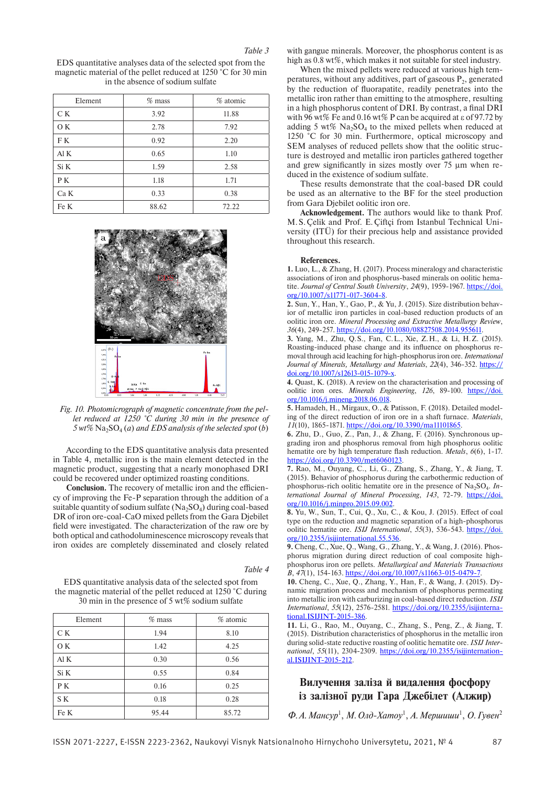### *Table 3*

EDS quantitative analyses data of the selected spot from the magnetic material of the pellet reduced at 1250 °C for 30 min in the absence of sodium sulfate

| Element | $%$ mass | % atomic |
|---------|----------|----------|
| C K     | 3.92     | 11.88    |
| O K     | 2.78     | 7.92     |
| F K     | 0.92     | 2.20     |
| Al K    | 0.65     | 1.10     |
| Si K    | 1.59     | 2.58     |
| P K     | 1.18     | 1.71     |
| Ca K    | 0.33     | 0.38     |
| Fe K    | 88.62    | 72.22    |



*Fig. 10. Photomicrograph of magnetic concentrate from the pellet reduced at 1250 °C during 30 min in the presence of*   $5$   $wt\%$   $Na<sub>2</sub>SO<sub>4</sub>$  (*a*) and *EDS* analysis of the selected spot (*b*)

According to the EDS quantitative analysis data presented in Table 4, metallic iron is the main element detected in the magnetic product, suggesting that a nearly monophased DRI could be recovered under optimized roasting conditions.

**Conclusion.** The recovery of metallic iron and the efficiency of improving the Fe-P separation through the addition of a suitable quantity of sodium sulfate  $(Na_2SO_4)$  during coal-based DR of iron ore-coal-CaO mixed pellets from the Gara Djebilet field were investigated. The characterization of the raw ore by both optical and cathodoluminescence microscopy reveals that iron oxides are completely disseminated and closely related

#### *Table 4*

EDS quantitative analysis data of the selected spot from the magnetic material of the pellet reduced at 1250 °C during 30 min in the presence of 5 wt% sodium sulfate

| Element | $%$ mass | % atomic |
|---------|----------|----------|
| C K     | 1.94     | 8.10     |
| O K     | 1.42     | 4.25     |
| AI K    | 0.30     | 0.56     |
| Si K    | 0.55     | 0.84     |
| P K     | 0.16     | 0.25     |
| S K     | 0.18     | 0.28     |
| Fe K    | 95.44    | 85.72    |

with gangue minerals. Moreover, the phosphorus content is as high as 0.8 wt%, which makes it not suitable for steel industry.

When the mixed pellets were reduced at various high temperatures, without any additives, part of gaseous  $P_2$ , generated by the reduction of fluorapatite, readily penetrates into the metallic iron rather than emitting to the atmosphere, resulting in a high phosphorus content of DRI. By contrast, a final DRI with 96 wt% Fe and 0.16 wt% P can be acquired at e of 97.72 by adding 5 wt%  $Na<sub>2</sub>SO<sub>4</sub>$  to the mixed pellets when reduced at 1250 °C for 30 min. Furthermore, optical microscopy and SEM analyses of reduced pellets show that the oolitic structure is destroyed and metallic iron particles gathered together and grew significantly in sizes mostly over 75 µm when reduced in the existence of sodium sulfate.

These results demonstrate that the coal-based DR could be used as an alternative to the BF for the steel production from Gara Djebilet oolitic iron ore.

**Acknowledgement.** The authors would like to thank Prof. M.S.Çelik and Prof. E.Çiftçi from Istanbul Technical University (ITÜ) for their precious help and assistance provided throughout this research.

#### **References.**

**1.** Luo, L., & Zhang, H. (2017). Process mineralogy and characteristic associations of iron and phosphorus-based minerals on oolitic hematite. *Journal of Central South University*, *24*(9), 1959-1967. https://doi. org/10.1007/s11771-017-3604-8.

**2.** Sun, Y., Han, Y., Gao, P., & Yu, J. (2015). Size distribution behavior of metallic iron particles in coal-based reduction products of an oolitic iron ore. *Mineral Processing and Extractive Metallurgy Review*, *36*(4), 249-257. https://doi.org/10.1080/08827508.2014.955611.

**3.** Yang, M., Zhu, Q.S., Fan, C.L., Xie, Z.H., & Li, H.Z. (2015). Roasting-induced phase change and its influence on phosphorus removal through acid leaching for high-phosphorus iron ore. *International Journal of Minerals, Metallurgy and Materials*, *22*(4), 346-352. https:// doi.org/10.1007/s12613-015-1079-x.

**4.** Quast, K. (2018). A review on the characterisation and processing of oolitic iron ores. *Minerals Engineering*, *126*, 89-100. https://doi. org/10.1016/j.mineng.2018.06.018.

**5.** Hamadeh, H., Mirgaux, O., & Patisson, F. (2018). Detailed modeling of the direct reduction of iron ore in a shaft furnace. *Materials*, *11*(10), 1865-1871. https://doi.org/10.3390/ma11101865.

**6.** Zhu, D., Guo, Z., Pan, J., & Zhang, F. (2016). Synchronous upgrading iron and phosphorus removal from high phosphorus oolitic hematite ore by high temperature flash reduction. *Metals*, *6*(6), 1-17. https://doi.org/10.3390/met6060123.

**7.** Rao, M., Ouyang, C., Li, G., Zhang, S., Zhang, Y., & Jiang, T. (2015). Behavior of phosphorus during the carbothermic reduction of phosphorus-rich oolitic hematite ore in the presence of Na<sub>2</sub>SO<sub>4</sub>. *International Journal of Mineral Processing*, *143*, 72-79. https://doi. org/10.1016/j.minpro.2015.09.002.

**8.** Yu, W., Sun, T., Cui, Q., Xu, C., & Kou, J. (2015). Effect of coal type on the reduction and magnetic separation of a high-phosphorus oolitic hematite ore. *ISIJ International*, 55(3), 536-543. https://doi. org/10.2355/isijinternational.55.536.

**9.** Cheng, C., Xue, Q., Wang, G., Zhang, Y., & Wang, J. (2016). Phosphorus migration during direct reduction of coal composite highphosphorus iron ore pellets. *Metallurgical and Materials Transactions B*, *47*(1), 154-163. https://doi.org/10.1007/s11663-015-0479-7.

**10.** Cheng, C., Xue, Q., Zhang, Y., Han, F., & Wang, J. (2015). Dynamic migration process and mechanism of phosphorus permeating into metallic iron with carburizing in coal-based direct reduction. *ISIJ International*, *55*(12), 2576-2581. https://doi.org/10.2355/isijinternational.ISIJINT-2015-386.

**11.** Li, G., Rao, M., Ouyang, C., Zhang, S., Peng, Z., & Jiang, T. (2015). Distribution characteristics of phosphorus in the metallic iron during solid-state reductive roasting of oolitic hematite ore. *ISIJ International*, *55*(11), 2304-2309. https://doi.org/10.2355/isijinternational.ISIJINT-2015-212.

## **Вилучення заліза й видалення фосфору із залізної руди Гара Джебілет (Алжир)**

 $\Phi$ . А. Мансур<sup>1</sup>, М. Олд-Хатоу<sup>1</sup>, А. Мершиши<sup>1</sup>, О. Гувен<sup>2</sup>